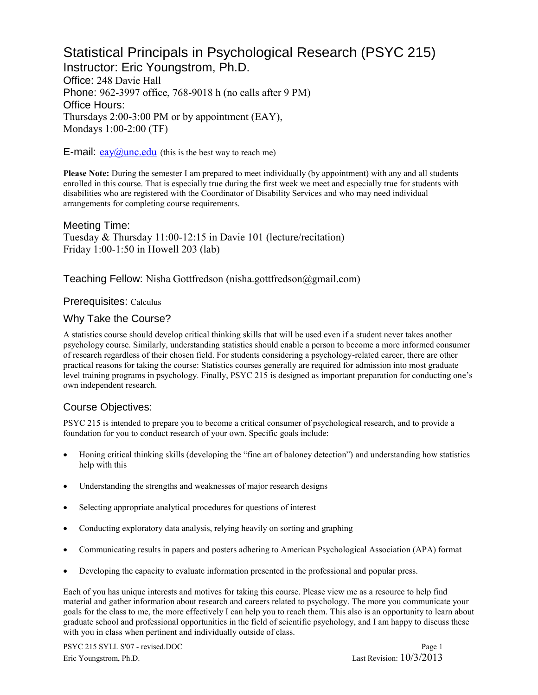# Statistical Principals in Psychological Research (PSYC 215) Instructor: Eric Youngstrom, Ph.D.

Office: 248 Davie Hall Phone: 962-3997 office, 768-9018 h (no calls after 9 PM) Office Hours: Thursdays 2:00-3:00 PM or by appointment (EAY), Mondays 1:00-2:00 (TF)

**E-mail:**  $e$ ay $\omega$ unc.edu (this is the best way to reach me)

**Please Note:** During the semester I am prepared to meet individually (by appointment) with any and all students enrolled in this course. That is especially true during the first week we meet and especially true for students with disabilities who are registered with the Coordinator of Disability Services and who may need individual arrangements for completing course requirements.

Meeting Time: Tuesday & Thursday 11:00-12:15 in Davie 101 (lecture/recitation) Friday 1:00-1:50 in Howell 203 (lab)

Teaching Fellow: Nisha Gottfredson (nisha.gottfredson@gmail.com)

#### Prerequisites: Calculus

#### Why Take the Course?

A statistics course should develop critical thinking skills that will be used even if a student never takes another psychology course. Similarly, understanding statistics should enable a person to become a more informed consumer of research regardless of their chosen field. For students considering a psychology-related career, there are other practical reasons for taking the course: Statistics courses generally are required for admission into most graduate level training programs in psychology. Finally, PSYC 215 is designed as important preparation for conducting one's own independent research.

#### Course Objectives:

PSYC 215 is intended to prepare you to become a critical consumer of psychological research, and to provide a foundation for you to conduct research of your own. Specific goals include:

- Honing critical thinking skills (developing the "fine art of baloney detection") and understanding how statistics help with this
- Understanding the strengths and weaknesses of major research designs
- Selecting appropriate analytical procedures for questions of interest
- Conducting exploratory data analysis, relying heavily on sorting and graphing
- Communicating results in papers and posters adhering to American Psychological Association (APA) format
- Developing the capacity to evaluate information presented in the professional and popular press.

Each of you has unique interests and motives for taking this course. Please view me as a resource to help find material and gather information about research and careers related to psychology. The more you communicate your goals for the class to me, the more effectively I can help you to reach them. This also is an opportunity to learn about graduate school and professional opportunities in the field of scientific psychology, and I am happy to discuss these with you in class when pertinent and individually outside of class.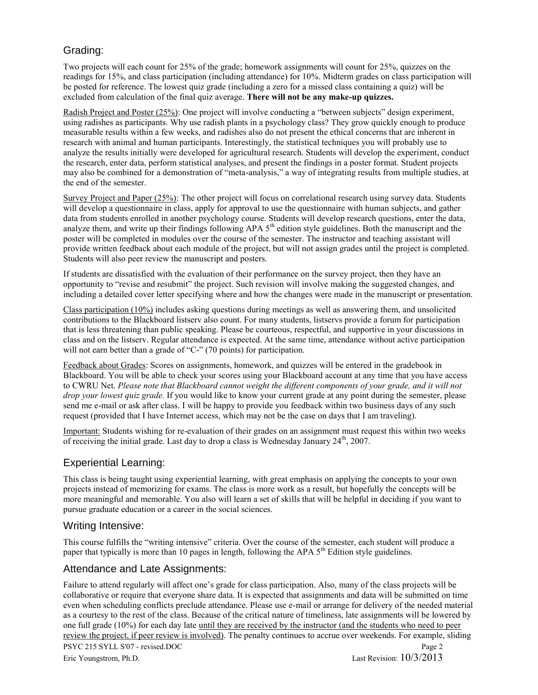## Grading:

Two projects will each count for 25% of the grade; homework assignments will count for 25%, quizzes on the readings for 15%, and class participation (including attendance) for 10%. Midterm grades on class participation will be posted for reference. The lowest quiz grade (including a zero for a missed class containing a quiz) will be excluded from calculation of the final quiz average. **There will not be any make-up quizzes.**

Radish Project and Poster (25%): One project will involve conducting a "between subjects" design experiment, using radishes as participants. Why use radish plants in a psychology class? They grow quickly enough to produce measurable results within a few weeks, and radishes also do not present the ethical concerns that are inherent in research with animal and human participants. Interestingly, the statistical techniques you will probably use to analyze the results initially were developed for agricultural research. Students will develop the experiment, conduct the research, enter data, perform statistical analyses, and present the findings in a poster format. Student projects may also be combined for a demonstration of "meta-analysis," a way of integrating results from multiple studies, at the end of the semester.

Survey Project and Paper (25%): The other project will focus on correlational research using survey data. Students will develop a questionnaire in class, apply for approval to use the questionnaire with human subjects, and gather data from students enrolled in another psychology course. Students will develop research questions, enter the data, analyze them, and write up their findings following APA  $5<sup>th</sup>$  edition style guidelines. Both the manuscript and the poster will be completed in modules over the course of the semester. The instructor and teaching assistant will provide written feedback about each module of the project, but will not assign grades until the project is completed. Students will also peer review the manuscript and posters.

If students are dissatisfied with the evaluation of their performance on the survey project, then they have an opportunity to "revise and resubmit" the project. Such revision will involve making the suggested changes, and including a detailed cover letter specifying where and how the changes were made in the manuscript or presentation.

Class participation (10%) includes asking questions during meetings as well as answering them, and unsolicited contributions to the Blackboard listserv also count. For many students, listservs provide a forum for participation that is less threatening than public speaking. Please be courteous, respectful, and supportive in your discussions in class and on the listserv. Regular attendance is expected. At the same time, attendance without active participation will not earn better than a grade of "C-" (70 points) for participation.

Feedback about Grades: Scores on assignments, homework, and quizzes will be entered in the gradebook in Blackboard. You will be able to check your scores using your Blackboard account at any time that you have access to CWRU Net. *Please note that Blackboard cannot weight the different components of your grade, and it will not drop your lowest quiz grade.* If you would like to know your current grade at any point during the semester, please send me e-mail or ask after class. I will be happy to provide you feedback within two business days of any such request (provided that I have Internet access, which may not be the case on days that I am traveling).

Important: Students wishing for re-evaluation of their grades on an assignment must request this within two weeks of receiving the initial grade. Last day to drop a class is Wednesday January  $24<sup>th</sup>$ ,  $2007$ .

## Experiential Learning:

This class is being taught using experiential learning, with great emphasis on applying the concepts to your own projects instead of memorizing for exams. The class is more work as a result, but hopefully the concepts will be more meaningful and memorable. You also will learn a set of skills that will be helpful in deciding if you want to pursue graduate education or a career in the social sciences.

#### Writing Intensive:

This course fulfills the "writing intensive" criteria. Over the course of the semester, each student will produce a paper that typically is more than 10 pages in length, following the APA  $5<sup>th</sup>$  Edition style guidelines.

## Attendance and Late Assignments:

Failure to attend regularly will affect one's grade for class participation. Also, many of the class projects will be collaborative or require that everyone share data. It is expected that assignments and data will be submitted on time even when scheduling conflicts preclude attendance. Please use e-mail or arrange for delivery of the needed material as a courtesy to the rest of the class. Because of the critical nature of timeliness, late assignments will be lowered by one full grade (10%) for each day late until they are received by the instructor (and the students who need to peer review the project, if peer review is involved). The penalty continues to accrue over weekends. For example, sliding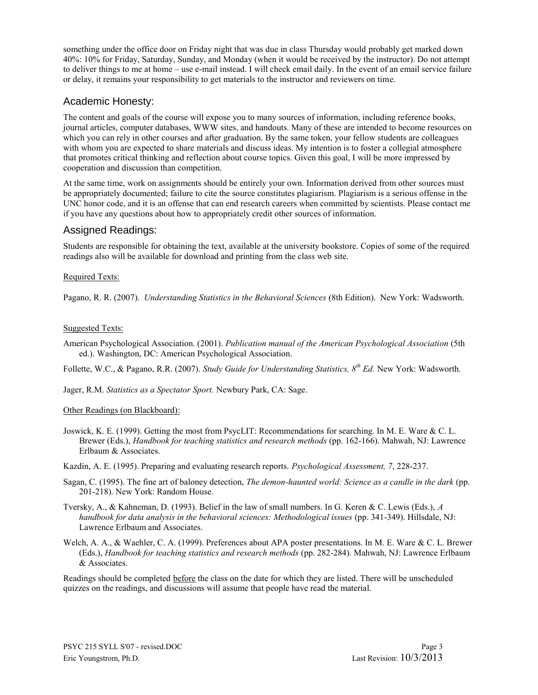something under the office door on Friday night that was due in class Thursday would probably get marked down 40%: 10% for Friday, Saturday, Sunday, and Monday (when it would be received by the instructor). Do not attempt to deliver things to me at home – use e-mail instead. I will check email daily. In the event of an email service failure or delay, it remains your responsibility to get materials to the instructor and reviewers on time.

#### Academic Honesty:

The content and goals of the course will expose you to many sources of information, including reference books, journal articles, computer databases, WWW sites, and handouts. Many of these are intended to become resources on which you can rely in other courses and after graduation. By the same token, your fellow students are colleagues with whom you are expected to share materials and discuss ideas. My intention is to foster a collegial atmosphere that promotes critical thinking and reflection about course topics. Given this goal, I will be more impressed by cooperation and discussion than competition.

At the same time, work on assignments should be entirely your own. Information derived from other sources must be appropriately documented; failure to cite the source constitutes plagiarism. Plagiarism is a serious offense in the UNC honor code, and it is an offense that can end research careers when committed by scientists. Please contact me if you have any questions about how to appropriately credit other sources of information.

#### Assigned Readings:

Students are responsible for obtaining the text, available at the university bookstore. Copies of some of the required readings also will be available for download and printing from the class web site.

#### Required Texts:

Pagano, R. R. (2007). *Understanding Statistics in the Behavioral Sciences* (8th Edition). New York: Wadsworth.

#### Suggested Texts:

American Psychological Association. (2001). *Publication manual of the American Psychological Association* (5th ed.). Washington, DC: American Psychological Association.

Follette, W.C., & Pagano, R.R. (2007). *Study Guide for Understanding Statistics, 8th Ed.* New York: Wadsworth.

Jager, R.M. *Statistics as a Spectator Sport.* Newbury Park, CA: Sage.

#### Other Readings (on Blackboard):

- Joswick, K. E. (1999). Getting the most from PsycLIT: Recommendations for searching. In M. E. Ware & C. L. Brewer (Eds.), *Handbook for teaching statistics and research methods* (pp. 162-166). Mahwah, NJ: Lawrence Erlbaum & Associates.
- Kazdin, A. E. (1995). Preparing and evaluating research reports. *Psychological Assessment, 7*, 228-237.
- Sagan, C. (1995). The fine art of baloney detection, *The demon-haunted world: Science as a candle in the dark* (pp. 201-218). New York: Random House.
- Tversky, A., & Kahneman, D. (1993). Belief in the law of small numbers. In G. Keren & C. Lewis (Eds.), *A handbook for data analysis in the behavioral sciences: Methodological issues* (pp. 341-349). Hillsdale, NJ: Lawrence Erlbaum and Associates.
- Welch, A. A., & Waehler, C. A. (1999). Preferences about APA poster presentations. In M. E. Ware & C. L. Brewer (Eds.), *Handbook for teaching statistics and research methods* (pp. 282-284). Mahwah, NJ: Lawrence Erlbaum & Associates.

Readings should be completed before the class on the date for which they are listed. There will be unscheduled quizzes on the readings, and discussions will assume that people have read the material.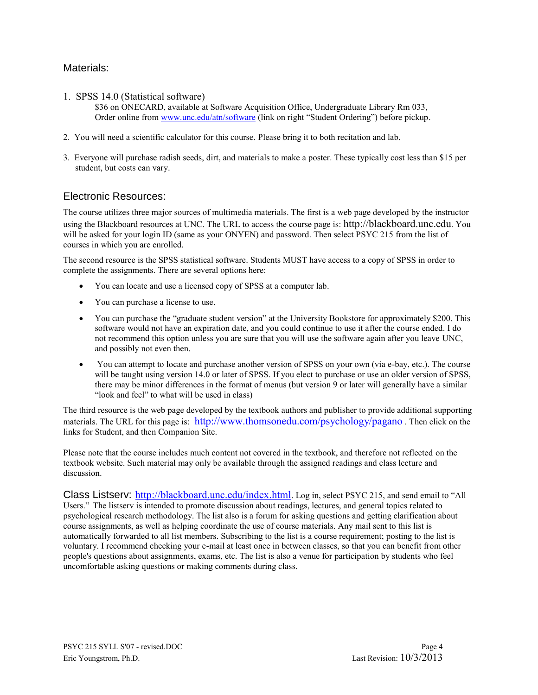### Materials:

1. SPSS 14.0 (Statistical software)

\$36 on ONECARD, available at Software Acquisition Office, Undergraduate Library Rm 033, Order online from [www.unc.edu/atn/software](http://www.unc.edu/atn/software) (link on right "Student Ordering") before pickup.

- 2. You will need a scientific calculator for this course. Please bring it to both recitation and lab.
- 3. Everyone will purchase radish seeds, dirt, and materials to make a poster. These typically cost less than \$15 per student, but costs can vary.

#### Electronic Resources:

The course utilizes three major sources of multimedia materials. The first is a web page developed by the instructor using the Blackboard resources at UNC. The URL to access the course page is: http://blackboard.unc.edu. You will be asked for your login ID (same as your ONYEN) and password. Then select PSYC 215 from the list of courses in which you are enrolled.

The second resource is the SPSS statistical software. Students MUST have access to a copy of SPSS in order to complete the assignments. There are several options here:

- You can locate and use a licensed copy of SPSS at a computer lab.
- You can purchase a license to use.
- You can purchase the "graduate student version" at the University Bookstore for approximately \$200. This software would not have an expiration date, and you could continue to use it after the course ended. I do not recommend this option unless you are sure that you will use the software again after you leave UNC, and possibly not even then.
- You can attempt to locate and purchase another version of SPSS on your own (via e-bay, etc.). The course will be taught using version 14.0 or later of SPSS. If you elect to purchase or use an older version of SPSS, there may be minor differences in the format of menus (but version 9 or later will generally have a similar "look and feel" to what will be used in class)

The third resource is the web page developed by the textbook authors and publisher to provide additional supporting materials. The URL for this page is: <http://www.thomsonedu.com/psychology/pagano>. Then click on the links for Student, and then Companion Site.

Please note that the course includes much content not covered in the textbook, and therefore not reflected on the textbook website. Such material may only be available through the assigned readings and class lecture and discussion.

Class Listserv: <http://blackboard.unc.edu/index.html>. Log in, select PSYC 215, and send email to "All Users." The listserv is intended to promote discussion about readings, lectures, and general topics related to psychological research methodology. The list also is a forum for asking questions and getting clarification about course assignments, as well as helping coordinate the use of course materials. Any mail sent to this list is automatically forwarded to all list members. Subscribing to the list is a course requirement; posting to the list is voluntary. I recommend checking your e-mail at least once in between classes, so that you can benefit from other people's questions about assignments, exams, etc. The list is also a venue for participation by students who feel uncomfortable asking questions or making comments during class.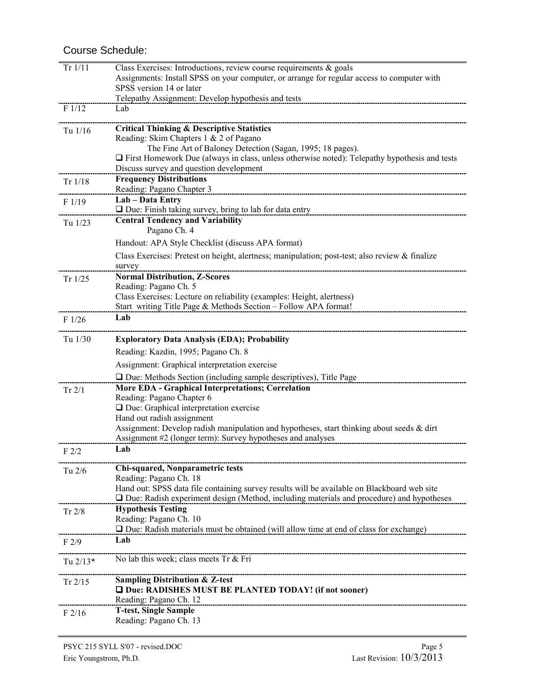## Course Schedule:

| Tr 1/11          | Class Exercises: Introductions, review course requirements & goals                                                                       |
|------------------|------------------------------------------------------------------------------------------------------------------------------------------|
|                  | Assignments: Install SPSS on your computer, or arrange for regular access to computer with                                               |
|                  | SPSS version 14 or later                                                                                                                 |
| F1/12            | Telepathy Assignment: Develop hypothesis and tests<br>Lab                                                                                |
|                  |                                                                                                                                          |
| Tu 1/16          | <b>Critical Thinking &amp; Descriptive Statistics</b>                                                                                    |
|                  | Reading: Skim Chapters 1 & 2 of Pagano                                                                                                   |
|                  | The Fine Art of Baloney Detection (Sagan, 1995; 18 pages).                                                                               |
|                  | $\Box$ First Homework Due (always in class, unless otherwise noted): Telepathy hypothesis and tests                                      |
|                  | Discuss survey and question development<br><b>Frequency Distributions</b>                                                                |
| Tr 1/18          | Reading: Pagano Chapter 3                                                                                                                |
| F1/19            | Lab - Data Entry                                                                                                                         |
|                  | $\Box$ Due: Finish taking survey, bring to lab for data entry                                                                            |
| Tu 1/23          | <b>Central Tendency and Variability</b>                                                                                                  |
|                  | Pagano Ch. 4                                                                                                                             |
|                  | Handout: APA Style Checklist (discuss APA format)                                                                                        |
|                  | Class Exercises: Pretest on height, alertness; manipulation; post-test; also review & finalize                                           |
|                  | survey                                                                                                                                   |
| Tr $1/25$        | <b>Normal Distribution, Z-Scores</b>                                                                                                     |
|                  | Reading: Pagano Ch. 5                                                                                                                    |
|                  | Class Exercises: Lecture on reliability (examples: Height, alertness)<br>Start writing Title Page & Methods Section - Follow APA format! |
|                  | Lab                                                                                                                                      |
| F1/26            |                                                                                                                                          |
| Tu 1/30          | <b>Exploratory Data Analysis (EDA); Probability</b>                                                                                      |
|                  | Reading: Kazdin, 1995; Pagano Ch. 8                                                                                                      |
|                  | Assignment: Graphical interpretation exercise                                                                                            |
|                  | $\Box$ Due: Methods Section (including sample descriptives), Title Page                                                                  |
| Tr 2/1           | More EDA - Graphical Interpretations; Correlation                                                                                        |
|                  | Reading: Pagano Chapter 6                                                                                                                |
|                  | $\Box$ Due: Graphical interpretation exercise                                                                                            |
|                  | Hand out radish assignment                                                                                                               |
|                  | Assignment: Develop radish manipulation and hypotheses, start thinking about seeds $\&$ dirt                                             |
|                  | Assignment #2 (longer term): Survey hypotheses and analyses<br>Lab                                                                       |
| F <sub>2/2</sub> |                                                                                                                                          |
| Tu $2/6$         | Chi-squared, Nonparametric tests                                                                                                         |
|                  | Reading: Pagano Ch. 18                                                                                                                   |
|                  | Hand out: SPSS data file containing survey results will be available on Blackboard web site                                              |
|                  | □ Due: Radish experiment design (Method, including materials and procedure) and hypotheses                                               |
| Tr $2/8$         | <b>Hypothesis Testing</b><br>Reading: Pagano Ch. 10                                                                                      |
|                  | □ Due: Radish materials must be obtained (will allow time at end of class for exchange)                                                  |
| F2/9             | Lab                                                                                                                                      |
|                  |                                                                                                                                          |
| Tu $2/13*$       | No lab this week; class meets Tr & Fri                                                                                                   |
|                  | <b>Sampling Distribution &amp; Z-test</b>                                                                                                |
| Tr 2/15          | □ Due: RADISHES MUST BE PLANTED TODAY! (if not sooner)                                                                                   |
|                  | Reading: Pagano Ch. 12                                                                                                                   |
| $F$ 2/16         | <b>T-test, Single Sample</b>                                                                                                             |
|                  | Reading: Pagano Ch. 13                                                                                                                   |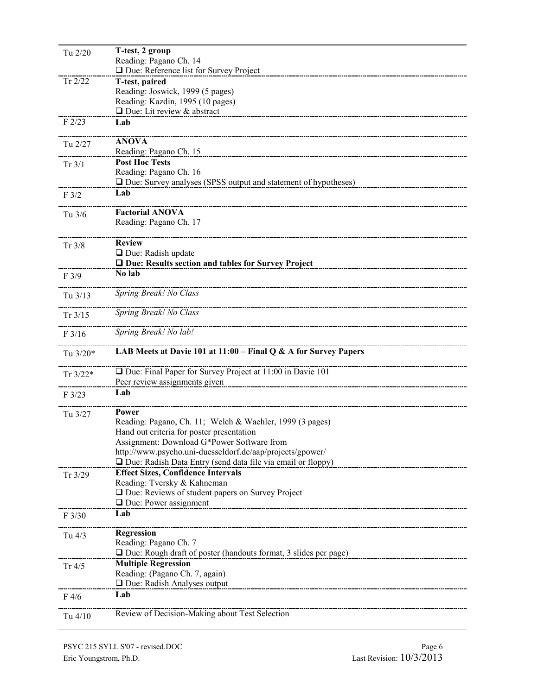| Tu 2/20    | T-test, 2 group                                                                                         |
|------------|---------------------------------------------------------------------------------------------------------|
|            | Reading: Pagano Ch. 14                                                                                  |
| Tr $2/22$  | □ Due: Reference list for Survey Project<br>T-test, paired                                              |
|            | Reading: Joswick, 1999 (5 pages)                                                                        |
|            | Reading: Kazdin, 1995 (10 pages)                                                                        |
|            | $\Box$ Due: Lit review & abstract                                                                       |
| F2/23      | Lab                                                                                                     |
| Tu 2/27    | <b>ANOVA</b>                                                                                            |
|            | Reading: Pagano Ch. 15                                                                                  |
| Tr 3/1     | <b>Post Hoc Tests</b>                                                                                   |
|            | Reading: Pagano Ch. 16<br>$\Box$ Due: Survey analyses (SPSS output and statement of hypotheses)         |
| F3/2       | Lab                                                                                                     |
|            |                                                                                                         |
| Tu 3/6     | <b>Factorial ANOVA</b>                                                                                  |
|            | Reading: Pagano Ch. 17                                                                                  |
| Tr 3/8     | <b>Review</b>                                                                                           |
|            | $\Box$ Due: Radish update                                                                               |
|            | □ Due: Results section and tables for Survey Project                                                    |
| F3/9       | No lab                                                                                                  |
| Tu 3/13    | Spring Break! No Class                                                                                  |
|            | Spring Break! No Class                                                                                  |
| Tr $3/15$  |                                                                                                         |
| F3/16      | Spring Break! No lab!                                                                                   |
| Tu 3/20*   | LAB Meets at Davie 101 at $11:00$ – Final Q & A for Survey Papers                                       |
|            | $\Box$ Due: Final Paper for Survey Project at 11:00 in Davie 101                                        |
| $Tr 3/22*$ | Peer review assignments given                                                                           |
| F3/23      | Lab                                                                                                     |
|            |                                                                                                         |
| Tu 3/27    | Power                                                                                                   |
|            | Reading: Pagano, Ch. 11; Welch & Waehler, 1999 (3 pages)                                                |
|            | Hand out criteria for poster presentation                                                               |
|            | Assignment: Download G*Power Software from<br>http://www.psycho.uni-duesseldorf.de/aap/projects/gpower/ |
|            | Due: Radish Data Entry (send data file via email or floppy)                                             |
| Tr $3/29$  | <b>Effect Sizes, Confidence Intervals</b>                                                               |
|            | Reading: Tversky & Kahneman                                                                             |
|            | □ Due: Reviews of student papers on Survey Project                                                      |
|            | $\Box$ Due: Power assignment                                                                            |
| F 3/30     | Lab                                                                                                     |
| Tu $4/3$   | Regression                                                                                              |
|            | Reading: Pagano Ch. 7                                                                                   |
|            | $\Box$ Due: Rough draft of poster (handouts format, 3 slides per page)                                  |
| Tr $4/5$   | <b>Multiple Regression</b>                                                                              |
|            | Reading: (Pagano Ch. 7, again)                                                                          |
|            | □ Due: Radish Analyses output                                                                           |
| $F\,4/6$   | Lab                                                                                                     |
| Tu 4/10    | Review of Decision-Making about Test Selection                                                          |